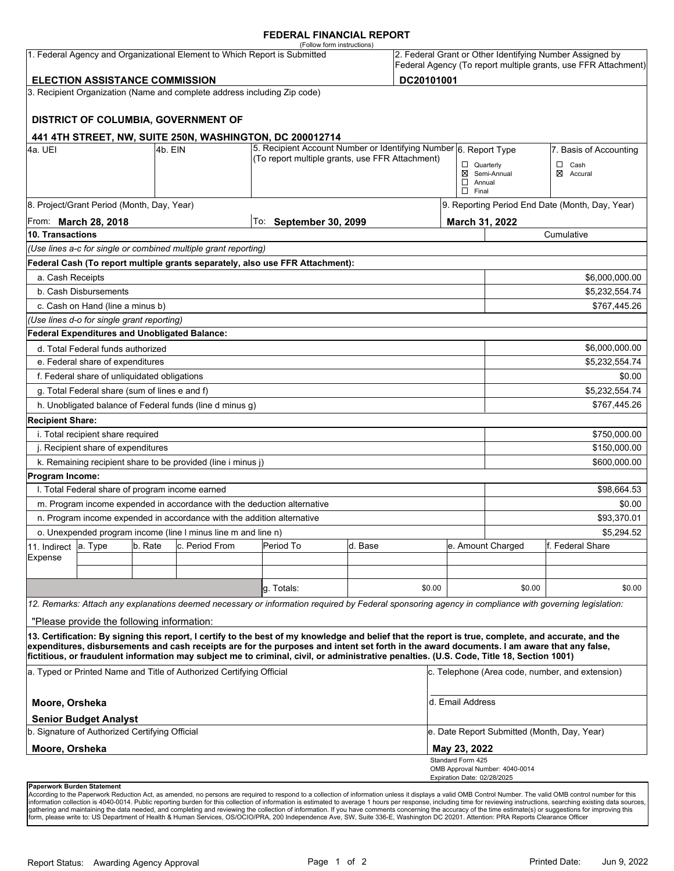### **FEDERAL FINANCIAL REPORT**

|                                                                                |                                                 |         |                                                                          | (Follow form instructions)                                                                                                                                                                                                                                                                                                                                                                                                                      |         |        |                                                                                                                            |                                       |                          |  |  |
|--------------------------------------------------------------------------------|-------------------------------------------------|---------|--------------------------------------------------------------------------|-------------------------------------------------------------------------------------------------------------------------------------------------------------------------------------------------------------------------------------------------------------------------------------------------------------------------------------------------------------------------------------------------------------------------------------------------|---------|--------|----------------------------------------------------------------------------------------------------------------------------|---------------------------------------|--------------------------|--|--|
| 1. Federal Agency and Organizational Element to Which Report is Submitted      |                                                 |         |                                                                          |                                                                                                                                                                                                                                                                                                                                                                                                                                                 |         |        | 2. Federal Grant or Other Identifying Number Assigned by<br>Federal Agency (To report multiple grants, use FFR Attachment) |                                       |                          |  |  |
| DC20101001<br><b>ELECTION ASSISTANCE COMMISSION</b>                            |                                                 |         |                                                                          |                                                                                                                                                                                                                                                                                                                                                                                                                                                 |         |        |                                                                                                                            |                                       |                          |  |  |
|                                                                                |                                                 |         | 3. Recipient Organization (Name and complete address including Zip code) |                                                                                                                                                                                                                                                                                                                                                                                                                                                 |         |        |                                                                                                                            |                                       |                          |  |  |
|                                                                                |                                                 |         | DISTRICT OF COLUMBIA, GOVERNMENT OF                                      |                                                                                                                                                                                                                                                                                                                                                                                                                                                 |         |        |                                                                                                                            |                                       |                          |  |  |
|                                                                                |                                                 |         |                                                                          | 441 4TH STREET, NW, SUITE 250N, WASHINGTON, DC 200012714                                                                                                                                                                                                                                                                                                                                                                                        |         |        |                                                                                                                            |                                       |                          |  |  |
| 4a. UEI<br>4b. EIN                                                             |                                                 |         |                                                                          | 5. Recipient Account Number or Identifying Number 6. Report Type<br>(To report multiple grants, use FFR Attachment)                                                                                                                                                                                                                                                                                                                             |         |        | 7. Basis of Accounting                                                                                                     |                                       |                          |  |  |
|                                                                                |                                                 |         |                                                                          |                                                                                                                                                                                                                                                                                                                                                                                                                                                 |         |        | $\Box$ Quarterly<br>$\Box$ Annual<br>$\Box$ Final                                                                          | ⊠ Semi-Annual                         | $\Box$ Cash<br>⊠ Accural |  |  |
|                                                                                | 8. Project/Grant Period (Month, Day, Year)      |         |                                                                          |                                                                                                                                                                                                                                                                                                                                                                                                                                                 |         |        | 9. Reporting Period End Date (Month, Day, Year)                                                                            |                                       |                          |  |  |
| From: <b>March 28, 2018</b>                                                    |                                                 |         |                                                                          | To: September 30, 2099                                                                                                                                                                                                                                                                                                                                                                                                                          |         |        |                                                                                                                            | March 31, 2022                        |                          |  |  |
| 10. Transactions                                                               |                                                 |         |                                                                          |                                                                                                                                                                                                                                                                                                                                                                                                                                                 |         |        |                                                                                                                            | Cumulative                            |                          |  |  |
|                                                                                |                                                 |         | (Use lines a-c for single or combined multiple grant reporting)          |                                                                                                                                                                                                                                                                                                                                                                                                                                                 |         |        |                                                                                                                            |                                       |                          |  |  |
|                                                                                |                                                 |         |                                                                          | Federal Cash (To report multiple grants separately, also use FFR Attachment):                                                                                                                                                                                                                                                                                                                                                                   |         |        |                                                                                                                            |                                       |                          |  |  |
| a. Cash Receipts                                                               |                                                 |         |                                                                          |                                                                                                                                                                                                                                                                                                                                                                                                                                                 |         |        |                                                                                                                            |                                       | \$6,000,000.00           |  |  |
|                                                                                | b. Cash Disbursements                           |         |                                                                          |                                                                                                                                                                                                                                                                                                                                                                                                                                                 |         |        |                                                                                                                            | \$5,232,554.74                        |                          |  |  |
|                                                                                | c. Cash on Hand (line a minus b)                |         |                                                                          |                                                                                                                                                                                                                                                                                                                                                                                                                                                 |         |        |                                                                                                                            |                                       | \$767,445.26             |  |  |
|                                                                                | (Use lines d-o for single grant reporting)      |         |                                                                          |                                                                                                                                                                                                                                                                                                                                                                                                                                                 |         |        |                                                                                                                            |                                       |                          |  |  |
|                                                                                | Federal Expenditures and Unobligated Balance:   |         |                                                                          |                                                                                                                                                                                                                                                                                                                                                                                                                                                 |         |        |                                                                                                                            |                                       |                          |  |  |
|                                                                                | d. Total Federal funds authorized               |         |                                                                          |                                                                                                                                                                                                                                                                                                                                                                                                                                                 |         |        |                                                                                                                            |                                       | \$6,000,000.00           |  |  |
|                                                                                | e. Federal share of expenditures                |         |                                                                          |                                                                                                                                                                                                                                                                                                                                                                                                                                                 |         |        |                                                                                                                            |                                       | \$5,232,554.74           |  |  |
|                                                                                | f. Federal share of unliquidated obligations    |         |                                                                          |                                                                                                                                                                                                                                                                                                                                                                                                                                                 |         |        |                                                                                                                            |                                       | \$0.00                   |  |  |
|                                                                                | g. Total Federal share (sum of lines e and f)   |         |                                                                          |                                                                                                                                                                                                                                                                                                                                                                                                                                                 |         |        |                                                                                                                            |                                       | \$5,232,554.74           |  |  |
|                                                                                |                                                 |         | h. Unobligated balance of Federal funds (line d minus g)                 |                                                                                                                                                                                                                                                                                                                                                                                                                                                 |         |        |                                                                                                                            |                                       | \$767,445.26             |  |  |
| <b>Recipient Share:</b>                                                        |                                                 |         |                                                                          |                                                                                                                                                                                                                                                                                                                                                                                                                                                 |         |        |                                                                                                                            |                                       |                          |  |  |
|                                                                                | i. Total recipient share required               |         |                                                                          |                                                                                                                                                                                                                                                                                                                                                                                                                                                 |         |        |                                                                                                                            |                                       | \$750,000.00             |  |  |
|                                                                                | j. Recipient share of expenditures              |         |                                                                          | \$150,000.00                                                                                                                                                                                                                                                                                                                                                                                                                                    |         |        |                                                                                                                            |                                       |                          |  |  |
|                                                                                |                                                 |         | k. Remaining recipient share to be provided (line i minus j)             |                                                                                                                                                                                                                                                                                                                                                                                                                                                 |         |        |                                                                                                                            |                                       | \$600,000.00             |  |  |
| Program Income:                                                                |                                                 |         |                                                                          |                                                                                                                                                                                                                                                                                                                                                                                                                                                 |         |        |                                                                                                                            |                                       |                          |  |  |
|                                                                                | I. Total Federal share of program income earned |         |                                                                          |                                                                                                                                                                                                                                                                                                                                                                                                                                                 |         |        |                                                                                                                            |                                       | \$98,664.53              |  |  |
|                                                                                |                                                 |         |                                                                          | m. Program income expended in accordance with the deduction alternative                                                                                                                                                                                                                                                                                                                                                                         |         |        |                                                                                                                            |                                       | \$0.00                   |  |  |
| n. Program income expended in accordance with the addition alternative         |                                                 |         |                                                                          |                                                                                                                                                                                                                                                                                                                                                                                                                                                 |         |        |                                                                                                                            |                                       | \$93,370.01              |  |  |
|                                                                                |                                                 |         | o. Unexpended program income (line I minus line m and line n)            |                                                                                                                                                                                                                                                                                                                                                                                                                                                 |         |        |                                                                                                                            |                                       | \$5,294.52               |  |  |
| 11. Indirect                                                                   | a. Type                                         | b. Rate | c. Period From                                                           | Period To                                                                                                                                                                                                                                                                                                                                                                                                                                       | d. Base |        |                                                                                                                            | e. Amount Charged<br>f. Federal Share |                          |  |  |
| Expense                                                                        |                                                 |         |                                                                          |                                                                                                                                                                                                                                                                                                                                                                                                                                                 |         |        |                                                                                                                            |                                       |                          |  |  |
|                                                                                |                                                 |         |                                                                          |                                                                                                                                                                                                                                                                                                                                                                                                                                                 |         |        |                                                                                                                            |                                       |                          |  |  |
|                                                                                |                                                 |         |                                                                          | q. Totals:                                                                                                                                                                                                                                                                                                                                                                                                                                      |         | \$0.00 |                                                                                                                            | \$0.00                                | \$0.00                   |  |  |
|                                                                                |                                                 |         |                                                                          | 12. Remarks: Attach any explanations deemed necessary or information required by Federal sponsoring agency in compliance with governing legislation:                                                                                                                                                                                                                                                                                            |         |        |                                                                                                                            |                                       |                          |  |  |
|                                                                                | "Please provide the following information:      |         |                                                                          |                                                                                                                                                                                                                                                                                                                                                                                                                                                 |         |        |                                                                                                                            |                                       |                          |  |  |
|                                                                                |                                                 |         |                                                                          | 13. Certification: By signing this report, I certify to the best of my knowledge and belief that the report is true, complete, and accurate, and the<br>expenditures, disbursements and cash receipts are for the purposes and intent set forth in the award documents. I am aware that any false,<br>fictitious, or fraudulent information may subject me to criminal, civil, or administrative penalties. (U.S. Code, Title 18, Section 1001) |         |        |                                                                                                                            |                                       |                          |  |  |
| a. Typed or Printed Name and Title of Authorized Certifying Official           |                                                 |         |                                                                          |                                                                                                                                                                                                                                                                                                                                                                                                                                                 |         |        | c. Telephone (Area code, number, and extension)                                                                            |                                       |                          |  |  |
| Moore, Orsheka                                                                 |                                                 |         |                                                                          |                                                                                                                                                                                                                                                                                                                                                                                                                                                 |         |        | d. Email Address                                                                                                           |                                       |                          |  |  |
| <b>Senior Budget Analyst</b><br>b. Signature of Authorized Certifying Official |                                                 |         |                                                                          |                                                                                                                                                                                                                                                                                                                                                                                                                                                 |         |        | e. Date Report Submitted (Month, Day, Year)                                                                                |                                       |                          |  |  |
| Moore, Orsheka                                                                 |                                                 |         |                                                                          |                                                                                                                                                                                                                                                                                                                                                                                                                                                 |         |        | May 23, 2022                                                                                                               |                                       |                          |  |  |
|                                                                                |                                                 |         |                                                                          |                                                                                                                                                                                                                                                                                                                                                                                                                                                 |         |        | Standard Form 425<br>Expiration Date: 02/28/2025                                                                           | OMB Approval Number: 4040-0014        |                          |  |  |
| <b>Paperwork Burden Statement</b>                                              |                                                 |         |                                                                          |                                                                                                                                                                                                                                                                                                                                                                                                                                                 |         |        |                                                                                                                            |                                       |                          |  |  |

According to the Paperwork Reduction Act, as amended, no persons are required to respond to a collection of information unless it displays a valid OMB Control Number. The valid OMB control number for this<br>information colle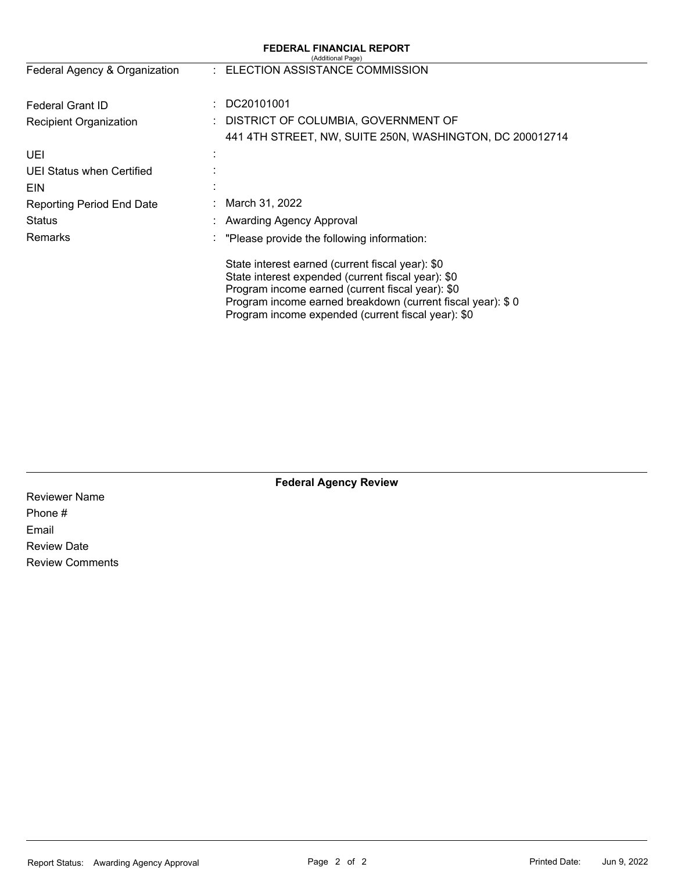|                                  | <b>FEDERAL FINANCIAL REPORT</b><br>(Additional Page)                                                                                                                                                                                                                           |
|----------------------------------|--------------------------------------------------------------------------------------------------------------------------------------------------------------------------------------------------------------------------------------------------------------------------------|
| Federal Agency & Organization    | : ELECTION ASSISTANCE COMMISSION                                                                                                                                                                                                                                               |
| Federal Grant ID                 | DC20101001                                                                                                                                                                                                                                                                     |
| Recipient Organization           | DISTRICT OF COLUMBIA, GOVERNMENT OF                                                                                                                                                                                                                                            |
|                                  | 441 4TH STREET, NW, SUITE 250N, WASHINGTON, DC 200012714                                                                                                                                                                                                                       |
| UEI                              |                                                                                                                                                                                                                                                                                |
| UEI Status when Certified        |                                                                                                                                                                                                                                                                                |
| <b>EIN</b>                       |                                                                                                                                                                                                                                                                                |
| <b>Reporting Period End Date</b> | March 31, 2022                                                                                                                                                                                                                                                                 |
| Status                           | Awarding Agency Approval                                                                                                                                                                                                                                                       |
| Remarks                          | "Please provide the following information:                                                                                                                                                                                                                                     |
|                                  | State interest earned (current fiscal year): \$0<br>State interest expended (current fiscal year): \$0<br>Program income earned (current fiscal year): \$0<br>Program income earned breakdown (current fiscal year): \$0<br>Program income expended (current fiscal year): \$0 |

**Federal Agency Review** 

Reviewer Name Phone # Email Review Date Review Comments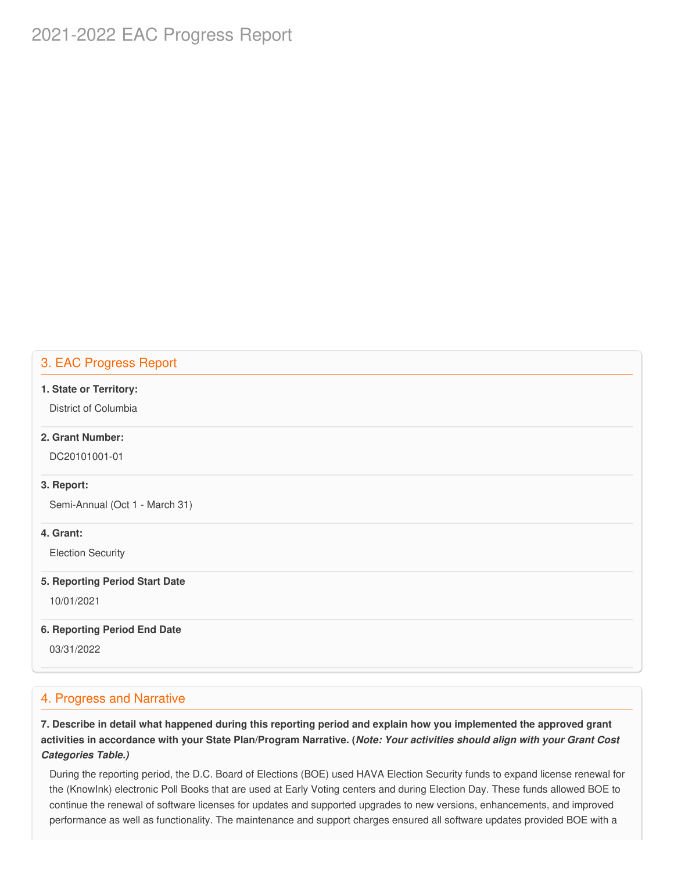# 2021-2022 EAC Progress Report

# 3. EAC Progress Report

#### **1. State or Territory:**

District of Columbia

# **2. Grant Number:**

DC20101001-01

### **3. Report:**

Semi-Annual (Oct 1 - March 31)

### **4. Grant:**

Election Security

#### **5. Reporting Period Start Date**

10/01/2021

#### **6. Reporting Period End Date**

03/31/2022

# 4. Progress and Narrative

7. Describe in detail what happened during this reporting period and explain how you implemented the approved grant activities in accordance with your State Plan/Program Narrative. (*Note: Your activities should align with your Grant Cost Categories Table.)*

 During the reporting period, the D.C. Board of Elections (BOE) used HAVA Election Security funds to expand license renewal for the (KnowInk) electronic Poll Books that are used at Early Voting centers and during Election Day. These funds allowed BOE to continue the renewal of software licenses for updates and supported upgrades to new versions, enhancements, and improved performance as well as functionality. The maintenance and support charges ensured all software updates provided BOE with a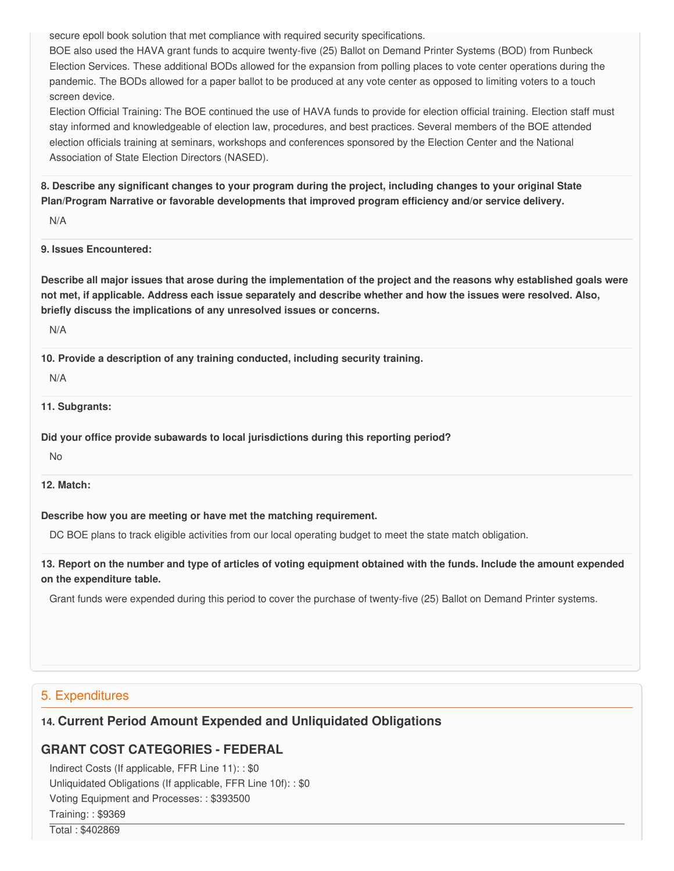secure epoll book solution that met compliance with required security specifications.

 BOE also used the HAVA grant funds to acquire twenty-five (25) Ballot on Demand Printer Systems (BOD) from Runbeck Election Services. These additional BODs allowed for the expansion from polling places to vote center operations during the pandemic. The BODs allowed for a paper ballot to be produced at any vote center as opposed to limiting voters to a touch screen device.

 Election Official Training: The BOE continued the use of HAVA funds to provide for election official training. Election staff must stay informed and knowledgeable of election law, procedures, and best practices. Several members of the BOE attended election officials training at seminars, workshops and conferences sponsored by the Election Center and the National Association of State Election Directors (NASED).

8. Describe any significant changes to your program during the project, including changes to your original State  **Plan/Program Narrative or favorable developments that improved program efficiency and/or service delivery.**

N/A

**9. Issues Encountered:**

Describe all major issues that arose during the implementation of the project and the reasons why established goals were not met, if applicable. Address each issue separately and describe whether and how the issues were resolved. Also,  **briefly discuss the implications of any unresolved issues or concerns.**

N/A

 **10. Provide a description of any training conducted, including security training.**

N/A

**11. Subgrants:**

 **Did your office provide subawards to local jurisdictions during this reporting period?**

No

**12. Match:**

### **Describe how you are meeting or have met the matching requirement.**

DC BOE plans to track eligible activities from our local operating budget to meet the state match obligation.

13. Report on the number and type of articles of voting equipment obtained with the funds. Include the amount expended  **on the expenditure table.**

Grant funds were expended during this period to cover the purchase of twenty-five (25) Ballot on Demand Printer systems.

# 5. Expenditures

# **14. Current Period Amount Expended and Unliquidated Obligations**

# **GRANT COST CATEGORIES - FEDERAL**

 Indirect Costs (If applicable, FFR Line 11): : \$0 Unliquidated Obligations (If applicable, FFR Line 10f): : \$0 Voting Equipment and Processes: : \$393500 Training: : \$9369

Total : \$402869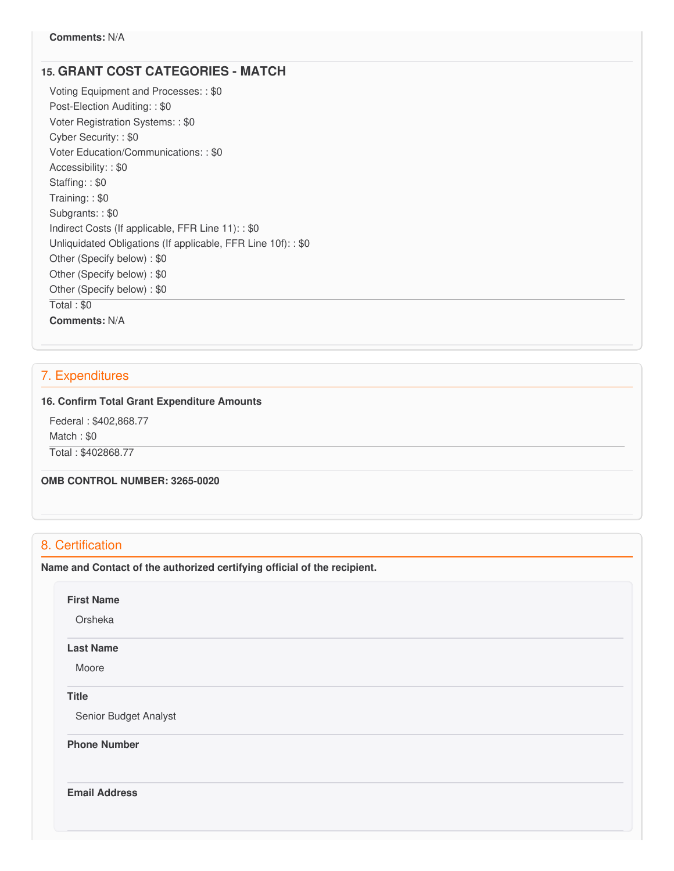# **15. GRANT COST CATEGORIES - MATCH**

 Voting Equipment and Processes: : \$0 Post-Election Auditing: : \$0 Voter Registration Systems: : \$0 Cyber Security: : \$0 Voter Education/Communications: : \$0 Accessibility: : \$0 Staffing: : \$0 Training: : \$0 Subgrants: : \$0 Indirect Costs (If applicable, FFR Line 11): : \$0 Unliquidated Obligations (If applicable, FFR Line 10f): : \$0 Other (Specify below) : \$0 Other (Specify below) : \$0 Other (Specify below) : \$0 Total : \$0 **Comments:** N/A

# 7. Expenditures

### **16. Confirm Total Grant Expenditure Amounts**

 Federal : \$402,868.77 Match : \$0 Total : \$402868.77

 **OMB CONTROL NUMBER: 3265-0020**

# 8. Certification

 **Name and Contact of the authorized certifying official of the recipient.**

### **First Name**

Orsheka

#### **Last Name**

Moore

### **Title**

Senior Budget Analyst

**Phone Number** 

**Email Address**